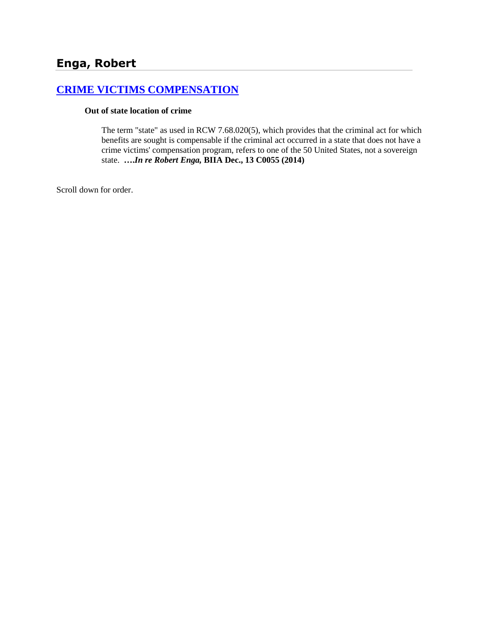# **[CRIME VICTIMS COMPENSATION](http://www.biia.wa.gov/SDSubjectIndex.html#CRIME_VICTIMS_COMPENSATION)**

#### **Out of state location of crime**

The term "state" as used in RCW 7.68.020(5), which provides that the criminal act for which benefits are sought is compensable if the criminal act occurred in a state that does not have a crime victims' compensation program, refers to one of the 50 United States, not a sovereign state. **….***In re Robert Enga,* **BIIA Dec., 13 C0055 (2014)**

Scroll down for order.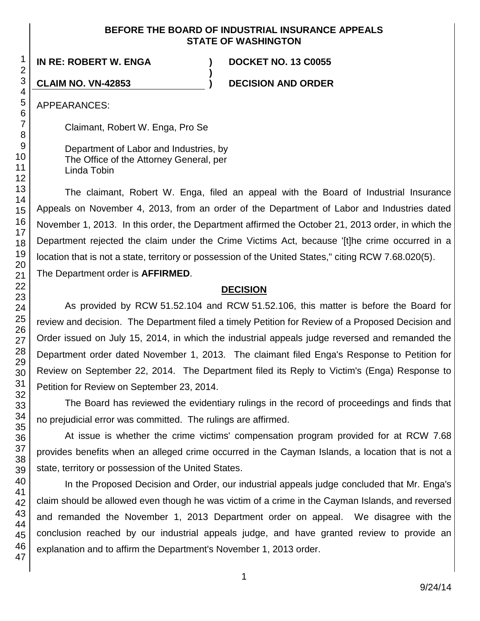#### **BEFORE THE BOARD OF INDUSTRIAL INSURANCE APPEALS STATE OF WASHINGTON**

**)**

**IN RE: ROBERT W. ENGA ) DOCKET NO. 13 C0055**

**CLAIM NO. VN-42853 ) DECISION AND ORDER**

APPEARANCES:

Claimant, Robert W. Enga, Pro Se

Department of Labor and Industries, by The Office of the Attorney General, per Linda Tobin

The claimant, Robert W. Enga, filed an appeal with the Board of Industrial Insurance Appeals on November 4, 2013, from an order of the Department of Labor and Industries dated November 1, 2013. In this order, the Department affirmed the October 21, 2013 order, in which the Department rejected the claim under the Crime Victims Act, because '[t]he crime occurred in a location that is not a state, territory or possession of the United States," citing RCW 7.68.020(5). The Department order is **AFFIRMED**.

## **DECISION**

As provided by RCW 51.52.104 and RCW 51.52.106, this matter is before the Board for review and decision. The Department filed a timely Petition for Review of a Proposed Decision and Order issued on July 15, 2014, in which the industrial appeals judge reversed and remanded the Department order dated November 1, 2013. The claimant filed Enga's Response to Petition for Review on September 22, 2014. The Department filed its Reply to Victim's (Enga) Response to Petition for Review on September 23, 2014.

The Board has reviewed the evidentiary rulings in the record of proceedings and finds that no prejudicial error was committed. The rulings are affirmed.

At issue is whether the crime victims' compensation program provided for at RCW 7.68 provides benefits when an alleged crime occurred in the Cayman Islands, a location that is not a state, territory or possession of the United States.

In the Proposed Decision and Order, our industrial appeals judge concluded that Mr. Enga's claim should be allowed even though he was victim of a crime in the Cayman Islands, and reversed and remanded the November 1, 2013 Department order on appeal. We disagree with the conclusion reached by our industrial appeals judge, and have granted review to provide an explanation and to affirm the Department's November 1, 2013 order.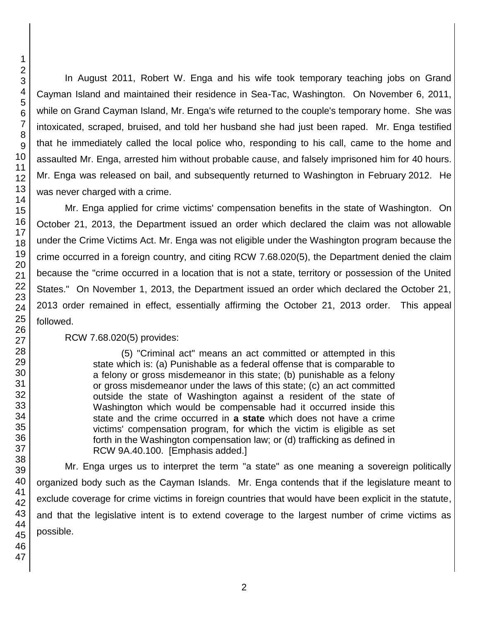In August 2011, Robert W. Enga and his wife took temporary teaching jobs on Grand Cayman Island and maintained their residence in Sea-Tac, Washington. On November 6, 2011, while on Grand Cayman Island, Mr. Enga's wife returned to the couple's temporary home. She was intoxicated, scraped, bruised, and told her husband she had just been raped. Mr. Enga testified that he immediately called the local police who, responding to his call, came to the home and assaulted Mr. Enga, arrested him without probable cause, and falsely imprisoned him for 40 hours. Mr. Enga was released on bail, and subsequently returned to Washington in February 2012. He was never charged with a crime.

Mr. Enga applied for crime victims' compensation benefits in the state of Washington. On October 21, 2013, the Department issued an order which declared the claim was not allowable under the Crime Victims Act. Mr. Enga was not eligible under the Washington program because the crime occurred in a foreign country, and citing RCW 7.68.020(5), the Department denied the claim because the "crime occurred in a location that is not a state, territory or possession of the United States." On November 1, 2013, the Department issued an order which declared the October 21, 2013 order remained in effect, essentially affirming the October 21, 2013 order. This appeal followed.

## RCW 7.68.020(5) provides:

(5) "Criminal act" means an act committed or attempted in this state which is: (a) Punishable as a federal offense that is comparable to a felony or gross misdemeanor in this state; (b) punishable as a felony or gross misdemeanor under the laws of this state; (c) an act committed outside the state of Washington against a resident of the state of Washington which would be compensable had it occurred inside this state and the crime occurred in **a state** which does not have a crime victims' compensation program, for which the victim is eligible as set forth in the Washington compensation law; or (d) trafficking as defined in RCW 9A.40.100. [Emphasis added.]

Mr. Enga urges us to interpret the term "a state" as one meaning a sovereign politically organized body such as the Cayman Islands. Mr. Enga contends that if the legislature meant to exclude coverage for crime victims in foreign countries that would have been explicit in the statute, and that the legislative intent is to extend coverage to the largest number of crime victims as possible.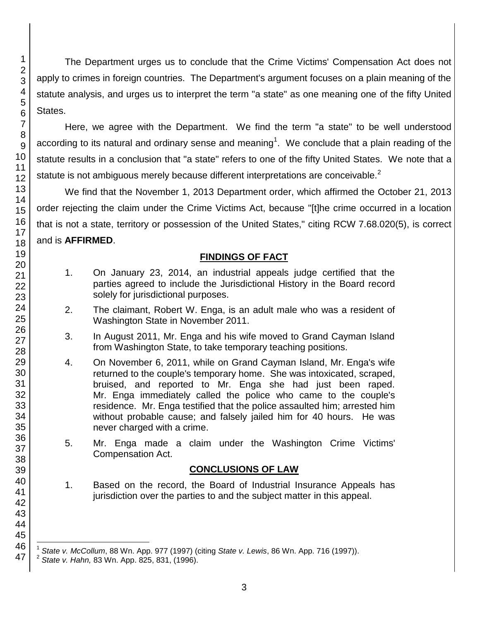The Department urges us to conclude that the Crime Victims' Compensation Act does not apply to crimes in foreign countries. The Department's argument focuses on a plain meaning of the statute analysis, and urges us to interpret the term "a state" as one meaning one of the fifty United States.

Here, we agree with the Department. We find the term "a state" to be well understood according to its natural and ordinary sense and meaning<sup>1</sup>. We conclude that a plain reading of the statute results in a conclusion that "a state" refers to one of the fifty United States. We note that a statute is not ambiguous merely because different interpretations are conceivable. $2$ 

We find that the November 1, 2013 Department order, which affirmed the October 21, 2013 order rejecting the claim under the Crime Victims Act, because "[t]he crime occurred in a location that is not a state, territory or possession of the United States," citing RCW 7.68.020(5), is correct and is **AFFIRMED**.

## **FINDINGS OF FACT**

- 1. On January 23, 2014, an industrial appeals judge certified that the parties agreed to include the Jurisdictional History in the Board record solely for jurisdictional purposes.
- 2. The claimant, Robert W. Enga, is an adult male who was a resident of Washington State in November 2011.
- 3. In August 2011, Mr. Enga and his wife moved to Grand Cayman Island from Washington State, to take temporary teaching positions.
- 4. On November 6, 2011, while on Grand Cayman Island, Mr. Enga's wife returned to the couple's temporary home. She was intoxicated, scraped, bruised, and reported to Mr. Enga she had just been raped. Mr. Enga immediately called the police who came to the couple's residence. Mr. Enga testified that the police assaulted him; arrested him without probable cause; and falsely jailed him for 40 hours. He was never charged with a crime.
- 5. Mr. Enga made a claim under the Washington Crime Victims' Compensation Act.

## **CONCLUSIONS OF LAW**

1. Based on the record, the Board of Industrial Insurance Appeals has jurisdiction over the parties to and the subject matter in this appeal.

1

l 1 *State v. McCollum*, 88 Wn. App. 977 (1997) (citing *State v. Lewis*, 86 Wn. App. 716 (1997)).

<sup>2</sup> *State v. Hahn,* 83 Wn. App. 825, 831, (1996).